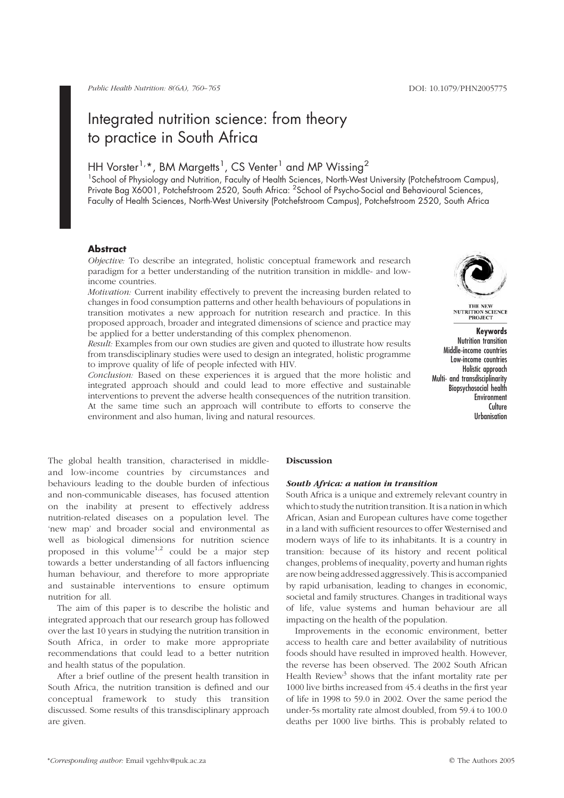# Integrated nutrition science: from theory to practice in South Africa

## HH Vorster<sup>1,</sup>\*, BM Margetts<sup>1</sup>, CS Venter<sup>1</sup> and MP Wissing<sup>2</sup>

<sup>1</sup> School of Physiology and Nutrition, Faculty of Health Sciences, North-West University (Potchefstroom Campus), Private Bag X6001, Potchefstroom 2520, South Africa: <sup>2</sup>School of Psycho-Social and Behavioural Sciences, Faculty of Health Sciences, North-West University (Potchefstroom Campus), Potchefstroom 2520, South Africa

#### **Abstract**

Objective: To describe an integrated, holistic conceptual framework and research paradigm for a better understanding of the nutrition transition in middle- and lowincome countries.

Motivation: Current inability effectively to prevent the increasing burden related to changes in food consumption patterns and other health behaviours of populations in transition motivates a new approach for nutrition research and practice. In this proposed approach, broader and integrated dimensions of science and practice may be applied for a better understanding of this complex phenomenon.

Result: Examples from our own studies are given and quoted to illustrate how results from transdisciplinary studies were used to design an integrated, holistic programme to improve quality of life of people infected with HIV.

Conclusion: Based on these experiences it is argued that the more holistic and integrated approach should and could lead to more effective and sustainable interventions to prevent the adverse health consequences of the nutrition transition. At the same time such an approach will contribute to efforts to conserve the environment and also human, living and natural resources.



NUTRITION SCIENCE

Keywords Nutrition transition Middle-income countries Low-income countries Holistic approach Multi- and transdisciplinarity Biopsychosocial health Environment **Culture** Urbanisation

The global health transition, characterised in middleand low-income countries by circumstances and behaviours leading to the double burden of infectious and non-communicable diseases, has focused attention on the inability at present to effectively address nutrition-related diseases on a population level. The 'new map' and broader social and environmental as well as biological dimensions for nutrition science proposed in this volume<sup>1,2</sup> could be a major step towards a better understanding of all factors influencing human behaviour, and therefore to more appropriate and sustainable interventions to ensure optimum nutrition for all.

The aim of this paper is to describe the holistic and integrated approach that our research group has followed over the last 10 years in studying the nutrition transition in South Africa, in order to make more appropriate recommendations that could lead to a better nutrition and health status of the population.

After a brief outline of the present health transition in South Africa, the nutrition transition is defined and our conceptual framework to study this transition discussed. Some results of this transdisciplinary approach are given.

#### Discussion

#### South Africa: a nation in transition

South Africa is a unique and extremely relevant country in which to study the nutrition transition. It is a nation in which African, Asian and European cultures have come together in a land with sufficient resources to offer Westernised and modern ways of life to its inhabitants. It is a country in transition: because of its history and recent political changes, problems of inequality, poverty and human rights are now being addressed aggressively. This is accompanied by rapid urbanisation, leading to changes in economic, societal and family structures. Changes in traditional ways of life, value systems and human behaviour are all impacting on the health of the population.

Improvements in the economic environment, better access to health care and better availability of nutritious foods should have resulted in improved health. However, the reverse has been observed. The 2002 South African Health Review<sup>3</sup> shows that the infant mortality rate per 1000 live births increased from 45.4 deaths in the first year of life in 1998 to 59.0 in 2002. Over the same period the under-5s mortality rate almost doubled, from 59.4 to 100.0 deaths per 1000 live births. This is probably related to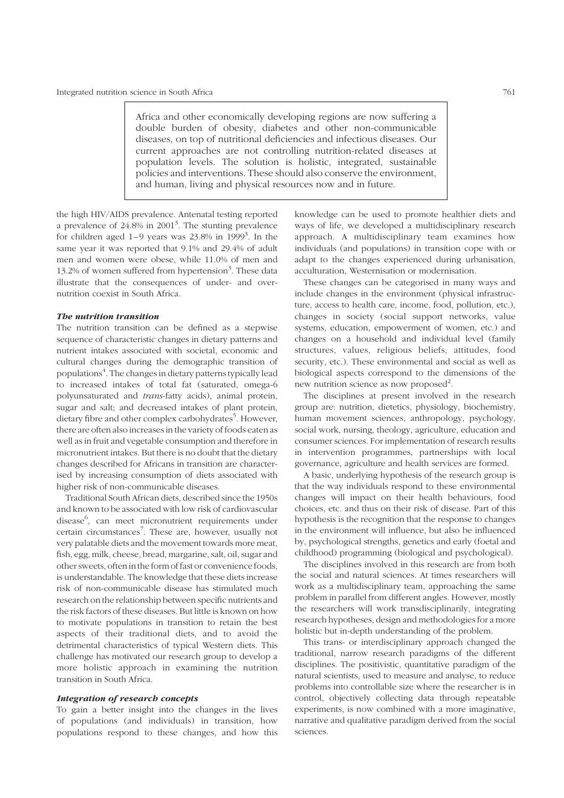Africa and other economically developing regions are now suffering a double burden of obesity, diabetes and other non-communicable diseases, on top of nutritional deficiencies and infectious diseases. Our current approaches are not controlling nutrition-related diseases at population levels. The solution is holistic, integrated, sustainable policies and interventions. These should also conserve the environment, and human, living and physical resources now and in future.

the high HIV/AIDS prevalence. Antenatal testing reported a prevalence of 24.8% in 2001<sup>3</sup>. The stunting prevalence for children aged  $1-9$  years was  $23.8\%$  in  $1999^3$ . In the same year it was reported that 9.1% and 29.4% of adult men and women were obese, while 11.0% of men and 13.2% of women suffered from hypertension<sup>3</sup>. These data illustrate that the consequences of under- and overnutrition coexist in South Africa.

#### The nutrition transition

The nutrition transition can be defined as a stepwise sequence of characteristic changes in dietary patterns and nutrient intakes associated with societal, economic and cultural changes during the demographic transition of populations ${}^4$ . The changes in dietary patterns typically lead to increased intakes of total fat (saturated, omega-6 polyunsaturated and trans-fatty acids), animal protein, sugar and salt; and decreased intakes of plant protein, dietary fibre and other complex carbohydrates<sup>5</sup>. However, there are often also increases in the variety of foods eaten as well as in fruit and vegetable consumption and therefore in micronutrient intakes. But there is no doubt that the dietary changes described for Africans in transition are characterised by increasing consumption of diets associated with higher risk of non-communicable diseases.

Traditional South African diets, described since the 1950s and known to be associated with low risk of cardiovascular disease<sup>6</sup>, can meet micronutrient requirements under certain circumstances<sup>7</sup>. These are, however, usually not very palatable diets and the movement towards more meat, fish, egg, milk, cheese, bread, margarine, salt, oil, sugar and other sweets, often in the form of fast or convenience foods, is understandable. The knowledge that these diets increase risk of non-communicable disease has stimulated much research on the relationship between specific nutrients and the risk factors of these diseases. But little is known on how to motivate populations in transition to retain the best aspects of their traditional diets, and to avoid the detrimental characteristics of typical Western diets. This challenge has motivated our research group to develop a more holistic approach in examining the nutrition transition in South Africa.

#### Integration of research concepts

To gain a better insight into the changes in the lives of populations (and individuals) in transition, how populations respond to these changes, and how this knowledge can be used to promote healthier diets and ways of life, we developed a multidisciplinary research approach. A multidisciplinary team examines how individuals (and populations) in transition cope with or adapt to the changes experienced during urbanisation, acculturation, Westernisation or modernisation.

These changes can be categorised in many ways and include changes in the environment (physical infrastructure, access to health care, income, food, pollution, etc.), changes in society (social support networks, value systems, education, empowerment of women, etc.) and changes on a household and individual level (family structures, values, religious beliefs, attitudes, food security, etc.). These environmental and social as well as biological aspects correspond to the dimensions of the new nutrition science as now proposed<sup>2</sup>.

The disciplines at present involved in the research group are: nutrition, dietetics, physiology, biochemistry, human movement sciences, anthropology, psychology, social work, nursing, theology, agriculture, education and consumer sciences. For implementation of research results in intervention programmes, partnerships with local governance, agriculture and health services are formed.

A basic, underlying hypothesis of the research group is that the way individuals respond to these environmental changes will impact on their health behaviours, food choices, etc. and thus on their risk of disease. Part of this hypothesis is the recognition that the response to changes in the environment will influence, but also be influenced by, psychological strengths, genetics and early (foetal and childhood) programming (biological and psychological).

The disciplines involved in this research are from both the social and natural sciences. At times researchers will work as a multidisciplinary team, approaching the same problem in parallel from different angles. However, mostly the researchers will work transdisciplinarily, integrating research hypotheses, design and methodologies for a more holistic but in-depth understanding of the problem.

This trans- or interdisciplinary approach changed the traditional, narrow research paradigms of the different disciplines. The positivistic, quantitative paradigm of the natural scientists, used to measure and analyse, to reduce problems into controllable size where the researcher is in control, objectively collecting data through repeatable experiments, is now combined with a more imaginative, narrative and qualitative paradigm derived from the social sciences.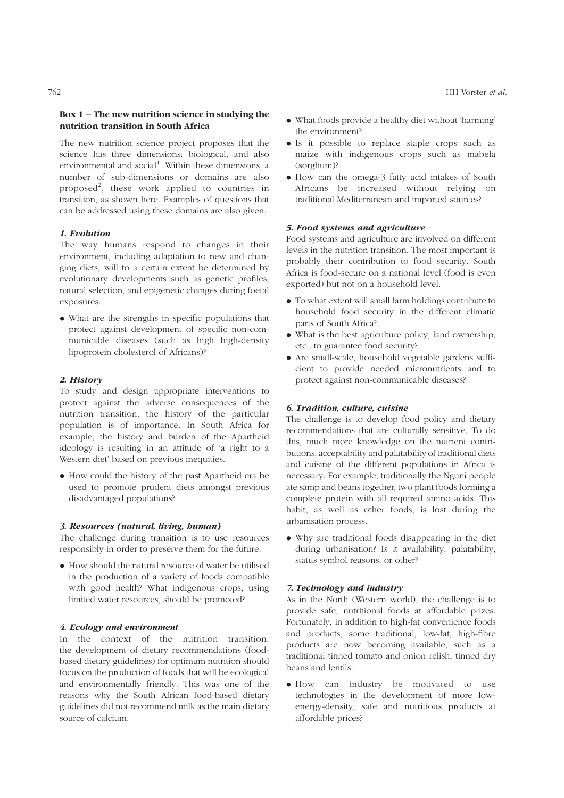#### Box 1 – The new nutrition science in studying the nutrition transition in South Africa

The new nutrition science project proposes that the science has three dimensions: biological, and also environmental and social<sup>1</sup>. Within these dimensions, a number of sub-dimensions or domains are also proposed<sup>2</sup>; these work applied to countries in transition, as shown here. Examples of questions that can be addressed using these domains are also given.

#### 1. Evolution

The way humans respond to changes in their environment, including adaptation to new and changing diets, will to a certain extent be determined by evolutionary developments such as genetic profiles, natural selection, and epigenetic changes during foetal exposures.

. What are the strengths in specific populations that protect against development of specific non-communicable diseases (such as high high-density lipoprotein cholesterol of Africans)?

#### 2. History

To study and design appropriate interventions to protect against the adverse consequences of the nutrition transition, the history of the particular population is of importance. In South Africa for example, the history and burden of the Apartheid ideology is resulting in an attitude of 'a right to a Western diet' based on previous inequities.

. How could the history of the past Apartheid era be used to promote prudent diets amongst previous disadvantaged populations?

#### 3. Resources (natural, living, human)

The challenge during transition is to use resources responsibly in order to preserve them for the future.

. How should the natural resource of water be utilised in the production of a variety of foods compatible with good health? What indigenous crops, using limited water resources, should be promoted?

### 4. Ecology and environment

In the context of the nutrition transition, the development of dietary recommendations (foodbased dietary guidelines) for optimum nutrition should focus on the production of foods that will be ecological and environmentally friendly. This was one of the reasons why the South African food-based dietary guidelines did not recommend milk as the main dietary source of calcium.

- . What foods provide a healthy diet without 'harming' the environment?
- . Is it possible to replace staple crops such as maize with indigenous crops such as mabela (sorghum)?
- . How can the omega-3 fatty acid intakes of South Africans be increased without relying on traditional Mediterranean and imported sources?

#### 5. Food systems and agriculture

Food systems and agriculture are involved on different levels in the nutrition transition. The most important is probably their contribution to food security. South Africa is food-secure on a national level (food is even exported) but not on a household level.

- . To what extent will small farm holdings contribute to household food security in the different climatic parts of South Africa?
- . What is the best agriculture policy, land ownership, etc., to guarantee food security?
- . Are small-scale, household vegetable gardens sufficient to provide needed micronutrients and to protect against non-communicable diseases?

#### 6. Tradition, culture, cuisine

The challenge is to develop food policy and dietary recommendations that are culturally sensitive. To do this, much more knowledge on the nutrient contributions, acceptability and palatability of traditional diets and cuisine of the different populations in Africa is necessary. For example, traditionally the Nguni people ate samp and beans together, two plant foods forming a complete protein with all required amino acids. This habit, as well as other foods, is lost during the urbanisation process.

. Why are traditional foods disappearing in the diet during urbanisation? Is it availability, palatability, status symbol reasons, or other?

#### 7. Technology and industry

As in the North (Western world), the challenge is to provide safe, nutritional foods at affordable prizes. Fortunately, in addition to high-fat convenience foods and products, some traditional, low-fat, high-fibre products are now becoming available, such as a traditional tinned tomato and onion relish, tinned dry beans and lentils.

. How can industry be motivated to use technologies in the development of more lowenergy-density, safe and nutritious products at affordable prices?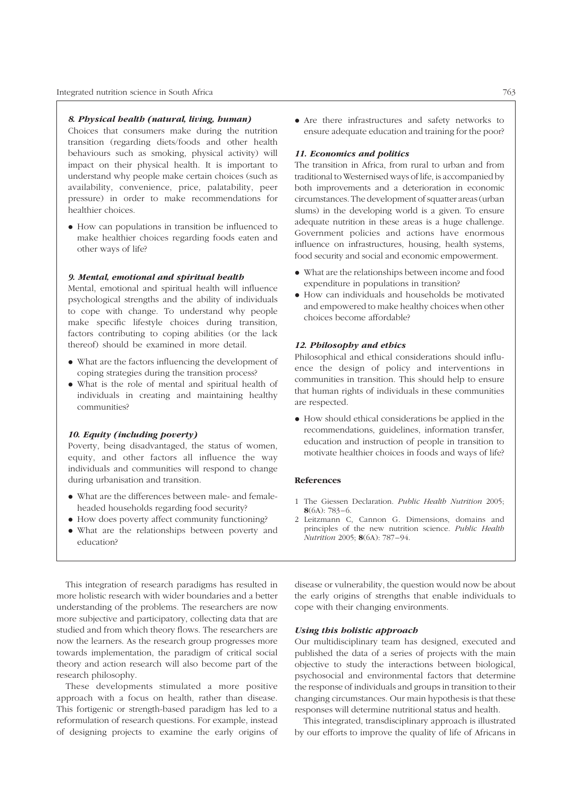#### 8. Physical health (natural, living, human)

Choices that consumers make during the nutrition transition (regarding diets/foods and other health behaviours such as smoking, physical activity) will impact on their physical health. It is important to understand why people make certain choices (such as availability, convenience, price, palatability, peer pressure) in order to make recommendations for healthier choices.

. How can populations in transition be influenced to make healthier choices regarding foods eaten and other ways of life?

#### 9. Mental, emotional and spiritual health

Mental, emotional and spiritual health will influence psychological strengths and the ability of individuals to cope with change. To understand why people make specific lifestyle choices during transition, factors contributing to coping abilities (or the lack thereof) should be examined in more detail.

- . What are the factors influencing the development of coping strategies during the transition process?
- . What is the role of mental and spiritual health of individuals in creating and maintaining healthy communities?

#### 10. Equity (including poverty)

Poverty, being disadvantaged, the status of women, equity, and other factors all influence the way individuals and communities will respond to change during urbanisation and transition.

- . What are the differences between male- and femaleheaded households regarding food security?
- . How does poverty affect community functioning?
- . What are the relationships between poverty and education?

. Are there infrastructures and safety networks to ensure adequate education and training for the poor?

#### 11. Economics and politics

The transition in Africa, from rural to urban and from traditional to Westernised ways of life, is accompanied by both improvements and a deterioration in economic circumstances. The development of squatter areas (urban slums) in the developing world is a given. To ensure adequate nutrition in these areas is a huge challenge. Government policies and actions have enormous influence on infrastructures, housing, health systems, food security and social and economic empowerment.

- . What are the relationships between income and food expenditure in populations in transition?
- . How can individuals and households be motivated and empowered to make healthy choices when other choices become affordable?

#### 12. Philosophy and ethics

Philosophical and ethical considerations should influence the design of policy and interventions in communities in transition. This should help to ensure that human rights of individuals in these communities are respected.

. How should ethical considerations be applied in the recommendations, guidelines, information transfer, education and instruction of people in transition to motivate healthier choices in foods and ways of life?

#### References

- 1 The Giessen Declaration. Public Health Nutrition 2005;  $8(6A): 783-6.$
- 2 Leitzmann C, Cannon G. Dimensions, domains and principles of the new nutrition science. Public Health Nutrition 2005; 8(6A): 787-94.

This integration of research paradigms has resulted in more holistic research with wider boundaries and a better understanding of the problems. The researchers are now more subjective and participatory, collecting data that are studied and from which theory flows. The researchers are now the learners. As the research group progresses more towards implementation, the paradigm of critical social theory and action research will also become part of the research philosophy.

These developments stimulated a more positive approach with a focus on health, rather than disease. This fortigenic or strength-based paradigm has led to a reformulation of research questions. For example, instead of designing projects to examine the early origins of

disease or vulnerability, the question would now be about the early origins of strengths that enable individuals to cope with their changing environments.

#### Using this holistic approach

Our multidisciplinary team has designed, executed and published the data of a series of projects with the main objective to study the interactions between biological, psychosocial and environmental factors that determine the response of individuals and groups in transition to their changing circumstances. Our main hypothesis is that these responses will determine nutritional status and health.

This integrated, transdisciplinary approach is illustrated by our efforts to improve the quality of life of Africans in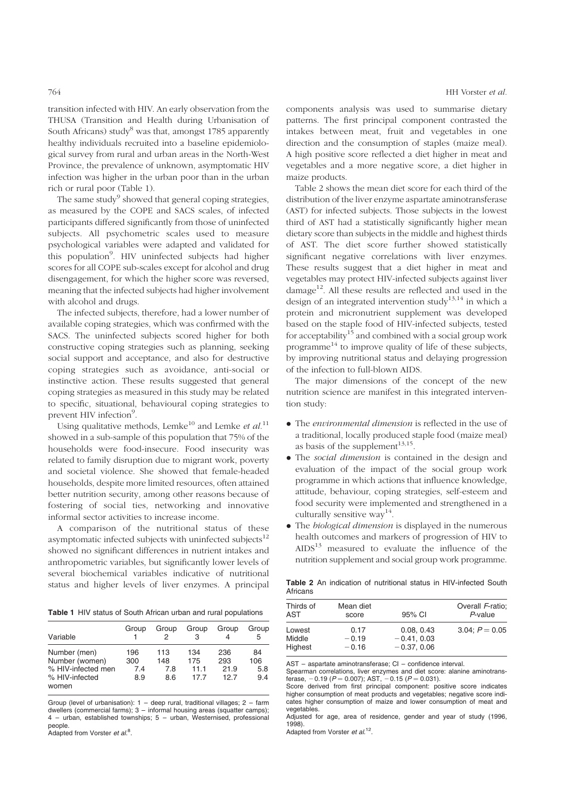transition infected with HIV. An early observation from the THUSA (Transition and Health during Urbanisation of South Africans) study<sup>8</sup> was that, amongst 1785 apparently healthy individuals recruited into a baseline epidemiological survey from rural and urban areas in the North-West Province, the prevalence of unknown, asymptomatic HIV infection was higher in the urban poor than in the urban rich or rural poor (Table 1).

The same study $9$  showed that general coping strategies, as measured by the COPE and SACS scales, of infected participants differed significantly from those of uninfected subjects. All psychometric scales used to measure psychological variables were adapted and validated for this population<sup>9</sup>. HIV uninfected subjects had higher scores for all COPE sub-scales except for alcohol and drug disengagement, for which the higher score was reversed, meaning that the infected subjects had higher involvement with alcohol and drugs.

The infected subjects, therefore, had a lower number of available coping strategies, which was confirmed with the SACS. The uninfected subjects scored higher for both constructive coping strategies such as planning, seeking social support and acceptance, and also for destructive coping strategies such as avoidance, anti-social or instinctive action. These results suggested that general coping strategies as measured in this study may be related to specific, situational, behavioural coping strategies to prevent HIV infection<sup>9</sup>.

Using qualitative methods, Lemke<sup>10</sup> and Lemke et  $al$ <sup>11</sup> showed in a sub-sample of this population that 75% of the households were food-insecure. Food insecurity was related to family disruption due to migrant work, poverty and societal violence. She showed that female-headed households, despite more limited resources, often attained better nutrition security, among other reasons because of fostering of social ties, networking and innovative informal sector activities to increase income.

A comparison of the nutritional status of these asymptomatic infected subjects with uninfected subjects $12$ showed no significant differences in nutrient intakes and anthropometric variables, but significantly lower levels of several biochemical variables indicative of nutritional status and higher levels of liver enzymes. A principal

Table 1 HIV status of South African urban and rural populations

| Variable                                                                        | Group                    | Group                    | Group<br>З                 | Group                      | Group<br>5              |
|---------------------------------------------------------------------------------|--------------------------|--------------------------|----------------------------|----------------------------|-------------------------|
| Number (men)<br>Number (women)<br>% HIV-infected men<br>% HIV-infected<br>women | 196<br>300<br>7.4<br>8.9 | 113<br>148<br>7.8<br>8.6 | 134<br>175<br>11.1<br>17.7 | 236<br>293<br>21.9<br>12.7 | 84<br>106<br>5.8<br>9.4 |

Group (level of urbanisation):  $1 -$  deep rural, traditional villages:  $2 -$  farm dwellers (commercial farms); 3 – informal housing areas (squatter camps); 4 – urban, established townships; 5 – urban, Westernised, professional people.

Adapted from Vorster et al.<sup>8</sup>.

components analysis was used to summarise dietary patterns. The first principal component contrasted the intakes between meat, fruit and vegetables in one direction and the consumption of staples (maize meal). A high positive score reflected a diet higher in meat and vegetables and a more negative score, a diet higher in maize products.

Table 2 shows the mean diet score for each third of the distribution of the liver enzyme aspartate aminotransferase (AST) for infected subjects. Those subjects in the lowest third of AST had a statistically significantly higher mean dietary score than subjects in the middle and highest thirds of AST. The diet score further showed statistically significant negative correlations with liver enzymes. These results suggest that a diet higher in meat and vegetables may protect HIV-infected subjects against liver damage $^{12}$ . All these results are reflected and used in the design of an integrated intervention study<sup>13,14</sup> in which a protein and micronutrient supplement was developed based on the staple food of HIV-infected subjects, tested for acceptability<sup>15</sup> and combined with a social group work programme<sup>14</sup> to improve quality of life of these subjects, by improving nutritional status and delaying progression of the infection to full-blown AIDS.

The major dimensions of the concept of the new nutrition science are manifest in this integrated intervention study:

- . The environmental dimension is reflected in the use of a traditional, locally produced staple food (maize meal) as basis of the supplement $^{13,15}$ .
- . The social dimension is contained in the design and evaluation of the impact of the social group work programme in which actions that influence knowledge, attitude, behaviour, coping strategies, self-esteem and food security were implemented and strengthened in a culturally sensitive way<sup>14</sup>.
- The *biological dimension* is displayed in the numerous health outcomes and markers of progression of HIV to  $AIDS<sup>13</sup>$  measured to evaluate the influence of the nutrition supplement and social group work programme.

Table 2 An indication of nutritional status in HIV-infected South Africans

| Thirds of | Mean diet | 95% CI        | Overall F-ratio: |
|-----------|-----------|---------------|------------------|
| AST       | score     |               | P-value          |
| Lowest    | 0.17      | 0.08, 0.43    | 3.04: $P = 0.05$ |
| Middle    | $-0.19$   | $-0.41, 0.03$ |                  |
| Highest   | $-0.16$   | $-0.37, 0.06$ |                  |

AST – aspartate aminotransferase; CI – confidence interval. Spearman correlations, liver enzymes and diet score: alanine aminotrans-

ferase,  $-0.19$  ( $P = 0.007$ ); AST,  $-0.15$  ( $P = 0.031$ ). Score derived from first principal component: positive score indicates higher consumption of meat products and vegetables; negative score indicates higher consumption of maize and lower consumption of meat and vegetables

Adjusted for age, area of residence, gender and year of study (1996, 1998).

Adapted from Vorster et al.<sup>12</sup>.